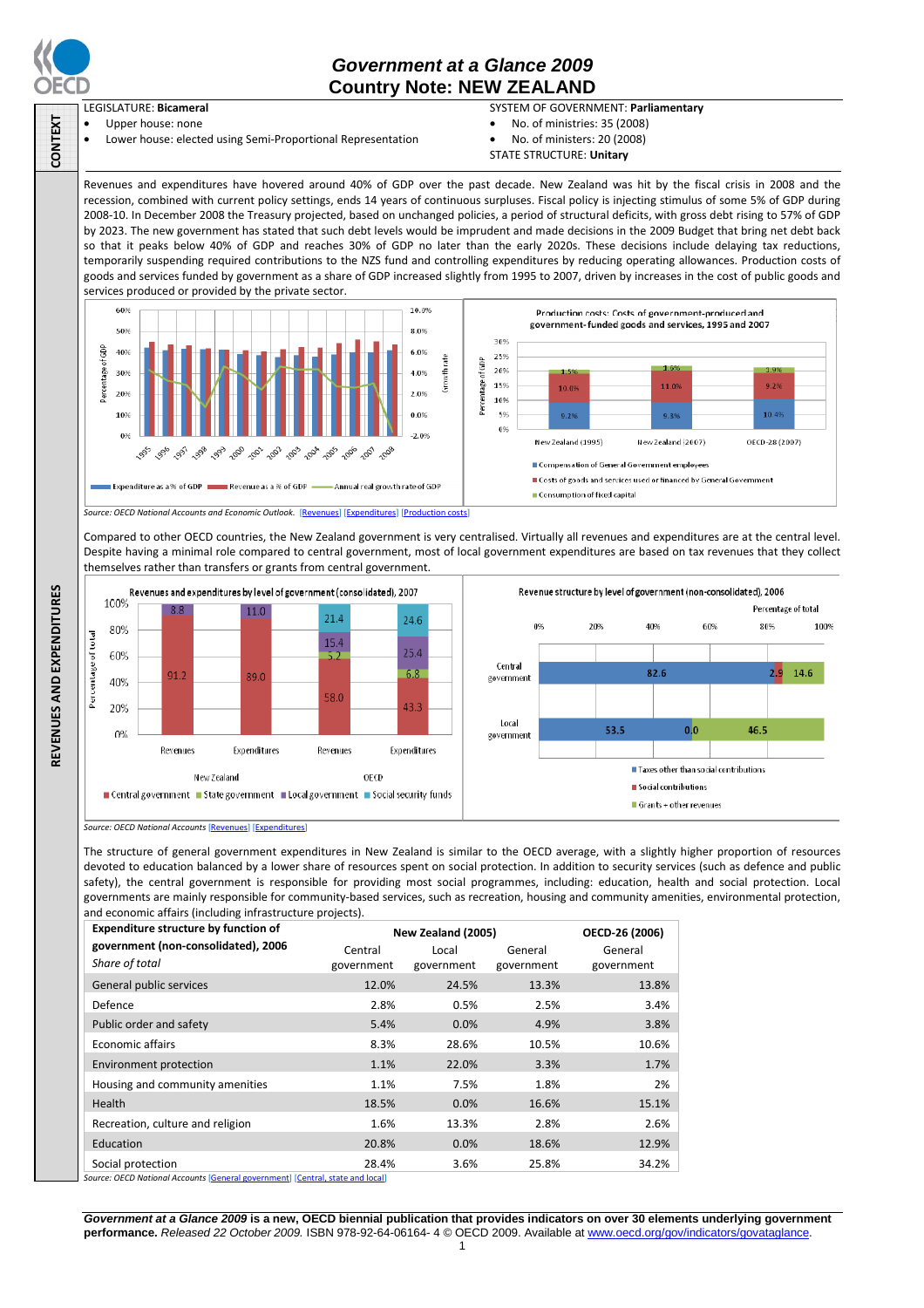

CONTEXT

### *Government at a Glance 2009*  **Country Note: NEW ZEALAND**

#### LEGISLATURE: **Bicameral**

Upper house: none • Lower house: elected using Semi-Proportional Representation

#### SYSTEM OF GOVERNMENT: **Parliamentary**

Percentage of total

 $2.9^{\circ}$ 14.6

100%

 $200$ 

46.5

 $60%$ 

- No. of ministries: 35 (2008)
- No. of ministers: 20 (2008)
- STATE STRUCTURE: **Unitary**

Revenues and expenditures have hovered around 40% of GDP over the past decade. New Zealand was hit by the fiscal crisis in 2008 and the recession, combined with current policy settings, ends 14 years of continuous surpluses. Fiscal policy is injecting stimulus of some 5% of GDP during 2008-10. In December 2008 the Treasury projected, based on unchanged policies, a period of structural deficits, with gross debt rising to 57% of GDP by 2023. The new government has stated that such debt levels would be imprudent and made decisions in the 2009 Budget that bring net debt back so that it peaks below 40% of GDP and reaches 30% of GDP no later than the early 2020s. These decisions include delaying tax reductions, temporarily suspending required contributions to the NZS fund and controlling expenditures by reducing operating allowances. Production costs of goods and services funded by government as a share of GDP increased slightly from 1995 to 2007, driven by increases in the cost of public goods and services produced or provided by the private sector.



Compared to other OECD countries, the New Zealand government is very centralised. Virtually all revenues and expenditures are at the central level. Despite having a minimal role compared to central government, most of local government expenditures are based on tax revenues that they collect themselves rather than transfers or grants from central government.



*Source: OECD National Accounts* [Revenues] [Expenditures]

The structure of general government expenditures in New Zealand is similar to the OECD average, with a slightly higher proportion of resources devoted to education balanced by a lower share of resources spent on social protection. In addition to security services (such as defence and public safety), the central government is responsible for providing most social programmes, including: education, health and social protection. Local governments are mainly responsible for community-based services, such as recreation, housing and community amenities, environmental protection, and economic affairs (including infrastructure projects).

| <b>Expenditure structure by function of</b>                                                                                                            | New Zealand (2005) |            |            | OECD-26 (2006) |
|--------------------------------------------------------------------------------------------------------------------------------------------------------|--------------------|------------|------------|----------------|
| government (non-consolidated), 2006                                                                                                                    | Central            | Local      | General    | General        |
| Share of total                                                                                                                                         | government         | government | government | government     |
| General public services                                                                                                                                | 12.0%              | 24.5%      | 13.3%      | 13.8%          |
| Defence                                                                                                                                                | 2.8%               | 0.5%       | 2.5%       | 3.4%           |
| Public order and safety                                                                                                                                | 5.4%               | 0.0%       | 4.9%       | 3.8%           |
| <b>Economic affairs</b>                                                                                                                                | 8.3%               | 28.6%      | 10.5%      | 10.6%          |
| Environment protection                                                                                                                                 | 1.1%               | 22.0%      | 3.3%       | 1.7%           |
| Housing and community amenities                                                                                                                        | 1.1%               | 7.5%       | 1.8%       | 2%             |
| Health                                                                                                                                                 | 18.5%              | 0.0%       | 16.6%      | 15.1%          |
| Recreation, culture and religion                                                                                                                       | 1.6%               | 13.3%      | 2.8%       | 2.6%           |
| Education                                                                                                                                              | 20.8%              | 0.0%       | 18.6%      | 12.9%          |
| Social protection<br>$\mathbf{r}$ , and the set of the set of $\mathbf{r}$ , and $\mathbf{r}$ , and $\mathbf{r}$ , and $\mathbf{r}$ , and $\mathbf{r}$ | 28.4%              | 3.6%       | 25.8%      | 34.2%          |

**Source: OECD National Accounts [General government] [Central, state and local]** 

*Government at a Glance 2009* **is a new, OECD biennial publication that provides indicators on over 30 elements underlying government performance.** *Released 22 October 2009.* ISBN 978-92-64-06164- 4 © OECD 2009. Available at www.oecd.org/gov/indicators/govataglance.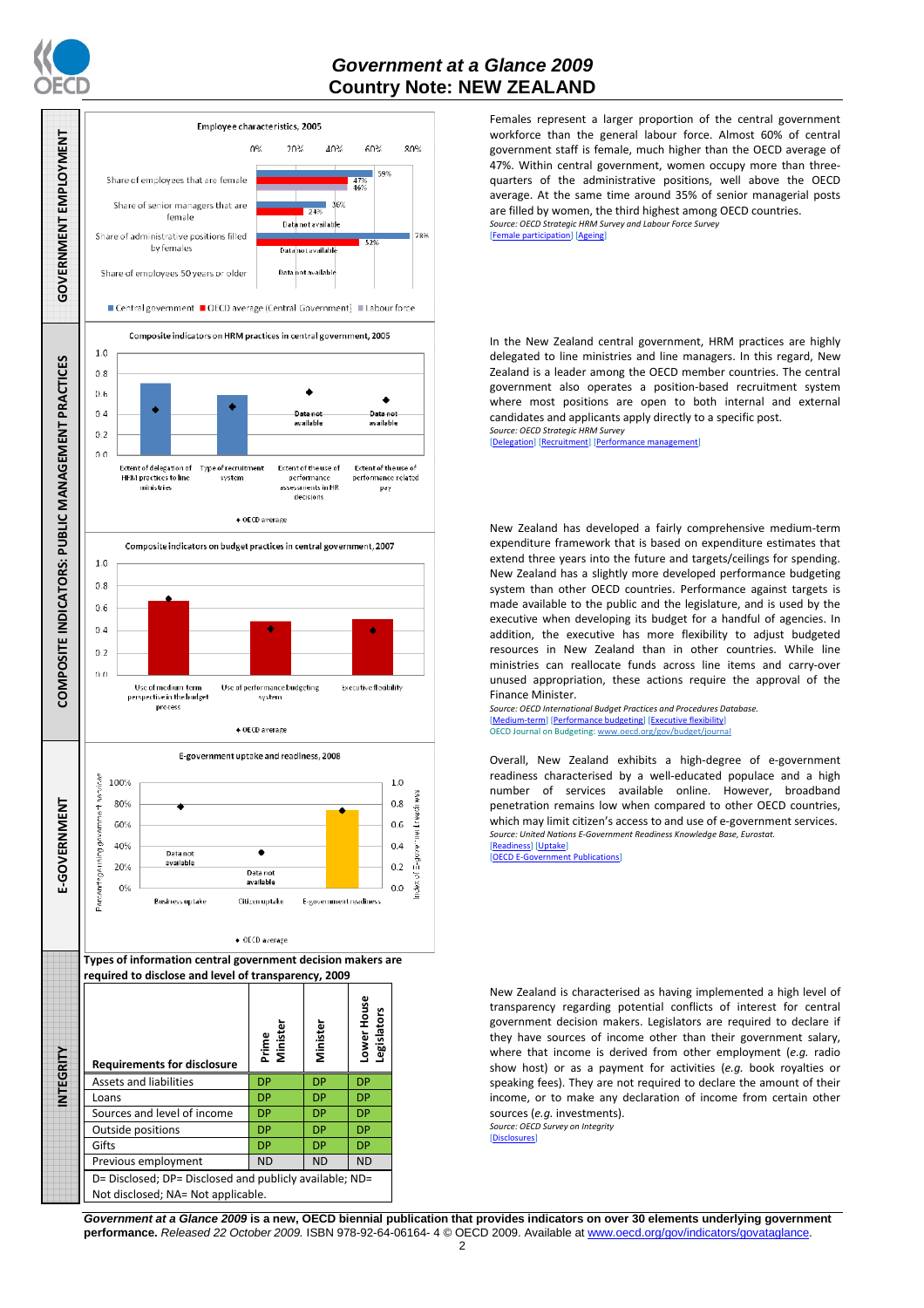

### *Government at a Glance 2009*  **Country Note: NEW ZEALAND**



Females represent a larger proportion of the central government workforce than the general labour force. Almost 60% of central government staff is female, much higher than the OECD average of 47%. Within central government, women occupy more than threequarters of the administrative positions, well above the OECD average. At the same time around 35% of senior managerial posts are filled by women, the third highest among OECD countries. *Source: OECD Strategic HRM Survey and Labour Force Survey*  participation] [Ageing]

In the New Zealand central government, HRM practices are highly delegated to line ministries and line managers. In this regard, New Zealand is a leader among the OECD member countries. The central government also operates a position-based recruitment system where most positions are open to both internal and external candidates and applicants apply directly to a specific post. *Source: OECD Strategic HRM Survey* 

[Delegation] [Recruitment] [Performa

New Zealand has developed a fairly comprehensive medium-term expenditure framework that is based on expenditure estimates that extend three years into the future and targets/ceilings for spending. New Zealand has a slightly more developed performance budgeting system than other OECD countries. Performance against targets is made available to the public and the legislature, and is used by the executive when developing its budget for a handful of agencies. In addition, the executive has more flexibility to adjust budgeted resources in New Zealand than in other countries. While line ministries can reallocate funds across line items and carry-over unused appropriation, these actions require the approval of the Finance Minister.

*Source: OECD International Budget Practices and Procedures Database.*  [Medium-term] [Performance budgeting] [Executive flexibility] OECD Journal on Budgeting: www.oecd.org/gov/budget/journal

Overall, New Zealand exhibits a high-degree of e-government readiness characterised by a well-educated populace and a high number of services available online. However, broadband penetration remains low when compared to other OECD countries, which may limit citizen's access to and use of e-government services. *Source: United Nations E-Government Readiness Knowledge Base, Eurostat.*  [Readiness] [Uptake]

 $[OFCD F-Go]$ 

New Zealand is characterised as having implemented a high level of transparency regarding potential conflicts of interest for central government decision makers. Legislators are required to declare if they have sources of income other than their government salary, where that income is derived from other employment (*e.g.* radio show host) or as a payment for activities (*e.g.* book royalties or speaking fees). They are not required to declare the amount of their income, or to make any declaration of income from certain other sources (*e.g.* investments).

*Source: OECD Survey on Integrity*  [Disclosures]

*Government at a Glance 2009* **is a new, OECD biennial publication that provides indicators on over 30 elements underlying government performance.** *Released 22 October 2009.* ISBN 978-92-64-06164- 4 © OECD 2009. Available at www.oecd.org/gov/indicators/govataglance.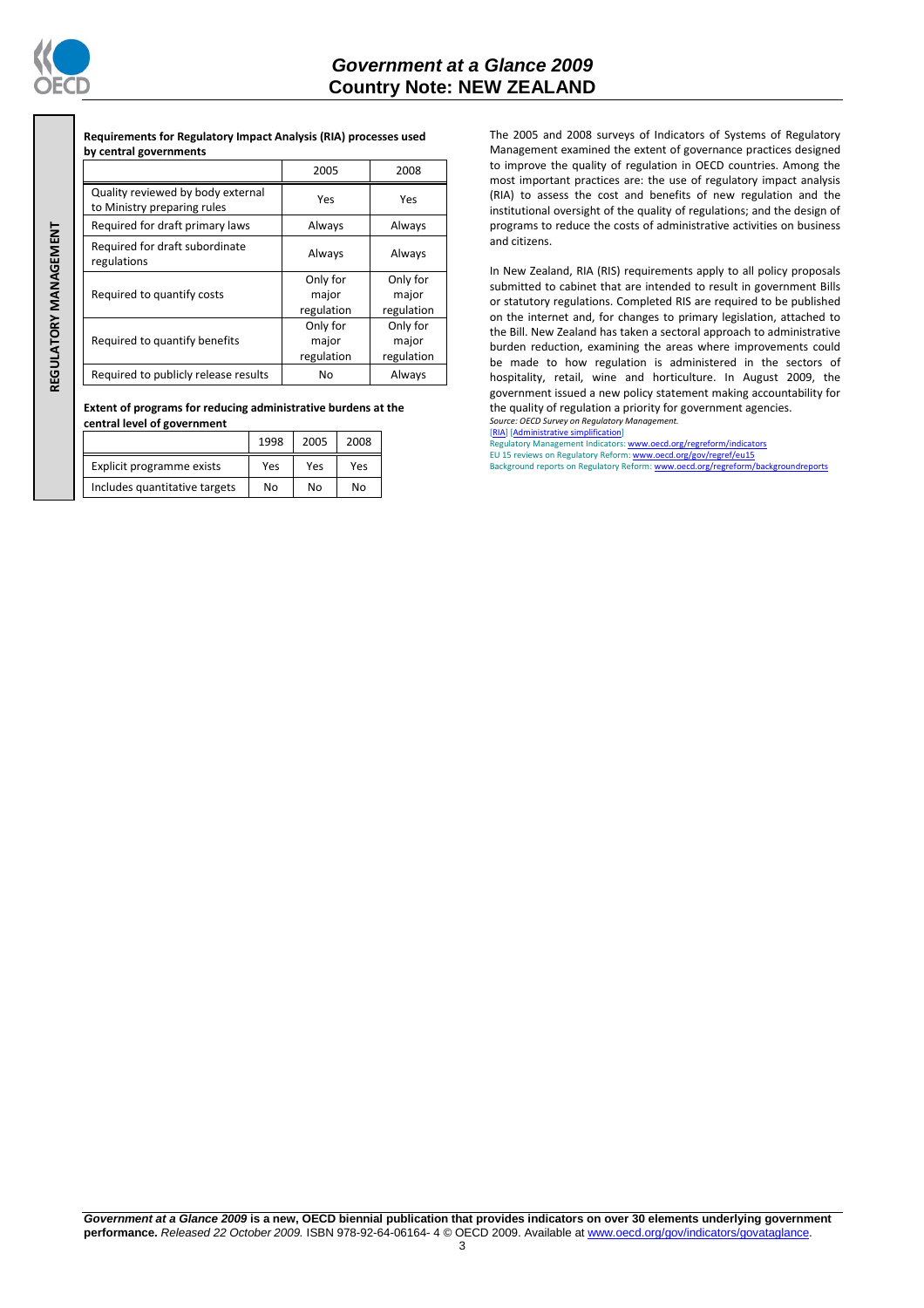

**REGULATORY MANAGEMENT** REGULATORY MANAGEMENT

## *Government at a Glance 2009*  **Country Note: NEW ZEALAND**

**Requirements for Regulatory Impact Analysis (RIA) processes used by central governments** 

|                                                                  | 2005                            | 2008                            |
|------------------------------------------------------------------|---------------------------------|---------------------------------|
| Quality reviewed by body external<br>to Ministry preparing rules | Yes                             | Yes                             |
| Required for draft primary laws                                  | Always                          | Always                          |
| Required for draft subordinate<br>regulations                    | Always                          |                                 |
| Required to quantify costs                                       | Only for<br>major<br>regulation | Only for<br>major<br>regulation |
| Required to quantify benefits                                    | Only for<br>major<br>regulation | Only for<br>major<br>regulation |
| Required to publicly release results                             | No                              | Always                          |

**Extent of programs for reducing administrative burdens at the central level of government** 

|                               | 1998 | 2005 | 2008 |
|-------------------------------|------|------|------|
| Explicit programme exists     | Yes  | Yes  | Yes  |
| Includes quantitative targets | No   | Nο   | No   |

The 2005 and 2008 surveys of Indicators of Systems of Regulatory Management examined the extent of governance practices designed to improve the quality of regulation in OECD countries. Among the most important practices are: the use of regulatory impact analysis (RIA) to assess the cost and benefits of new regulation and the institutional oversight of the quality of regulations; and the design of programs to reduce the costs of administrative activities on business and citizens.

In New Zealand, RIA (RIS) requirements apply to all policy proposals submitted to cabinet that are intended to result in government Bills or statutory regulations. Completed RIS are required to be published on the internet and, for changes to primary legislation, attached to the Bill. New Zealand has taken a sectoral approach to administrative burden reduction, examining the areas where improvements could be made to how regulation is administered in the sectors of hospitality, retail, wine and horticulture. In August 2009, the government issued a new policy statement making accountability for the quality of regulation a priority for government agencies.

*Source: OECD Survey on Regulatory Management.* [RIA] [Administrative simplification]

Regulatory Management Indicators: www.oecd.org/regreform/in

EU 15 reviews on Regulatory Reform: <u>www.oecd.org/gov/regref/eu15</u><br>Background reports on Regulatory Reform: <u>www.oecd.org/regreform/backgroundreports</u>